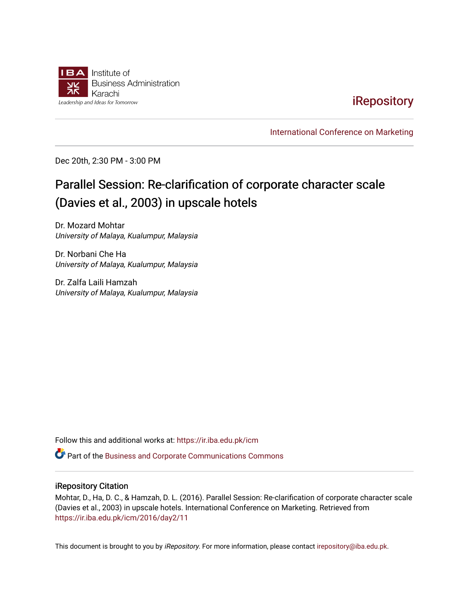

## **iRepository**

[International Conference on Marketing](https://ir.iba.edu.pk/icm) 

Dec 20th, 2:30 PM - 3:00 PM

# Parallel Session: Re-clarification of corporate character scale (Davies et al., 2003) in upscale hotels

Dr. Mozard Mohtar University of Malaya, Kualumpur, Malaysia

Dr. Norbani Che Ha University of Malaya, Kualumpur, Malaysia

Dr. Zalfa Laili Hamzah University of Malaya, Kualumpur, Malaysia

Follow this and additional works at: [https://ir.iba.edu.pk/icm](https://ir.iba.edu.pk/icm?utm_source=ir.iba.edu.pk%2Ficm%2F2016%2Fday2%2F11&utm_medium=PDF&utm_campaign=PDFCoverPages) 

Part of the [Business and Corporate Communications Commons](http://network.bepress.com/hgg/discipline/627?utm_source=ir.iba.edu.pk%2Ficm%2F2016%2Fday2%2F11&utm_medium=PDF&utm_campaign=PDFCoverPages)

#### iRepository Citation

Mohtar, D., Ha, D. C., & Hamzah, D. L. (2016). Parallel Session: Re-clarification of corporate character scale (Davies et al., 2003) in upscale hotels. International Conference on Marketing. Retrieved from [https://ir.iba.edu.pk/icm/2016/day2/11](https://ir.iba.edu.pk/icm/2016/day2/11?utm_source=ir.iba.edu.pk%2Ficm%2F2016%2Fday2%2F11&utm_medium=PDF&utm_campaign=PDFCoverPages)

This document is brought to you by iRepository. For more information, please contact [irepository@iba.edu.pk](mailto:irepository@iba.edu.pk).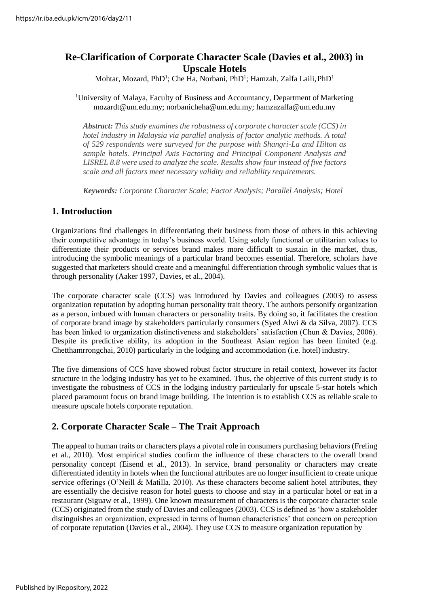## **Re-Clarification of Corporate Character Scale (Davies et al., 2003) in Upscale Hotels**

Mohtar, Mozard, PhD<sup>1</sup>; Che Ha, Norbani, PhD<sup>1</sup>; Hamzah, Zalfa Laili, PhD<sup>1</sup>

#### <sup>1</sup>University of Malaya, Faculty of Business and Accountancy, Department of Marketing mozardt@um.edu.my; norbanicheha@um.edu.my; [hamzazalfa@um.edu.my](mailto:hamzazalfa@um.edu.my)

*Abstract: This study examines the robustness of corporate character scale (CCS) in hotel industry in Malaysia via parallel analysis of factor analytic methods. A total of 529 respondents were surveyed for the purpose with Shangri-La and Hilton as sample hotels. Principal Axis Factoring and Principal Component Analysis and LISREL 8.8 were used to analyze the scale. Results show four instead of five factors scale and all factors meet necessary validity and reliability requirements.*

*Keywords: Corporate Character Scale; Factor Analysis; Parallel Analysis; Hotel*

## **1. Introduction**

Organizations find challenges in differentiating their business from those of others in this achieving their competitive advantage in today's business world. Using solely functional or utilitarian values to differentiate their products or services brand makes more difficult to sustain in the market, thus, introducing the symbolic meanings of a particular brand becomes essential. Therefore, scholars have suggested that marketers should create and a meaningful differentiation through symbolic values that is through personality (Aaker 1997, Davies, et al., 2004).

The corporate character scale (CCS) was introduced by Davies and colleagues (2003) to assess organization reputation by adopting human personality trait theory. The authors personify organization as a person, imbued with human characters or personality traits. By doing so, it facilitates the creation of corporate brand image by stakeholders particularly consumers (Syed Alwi & da Silva, 2007). CCS has been linked to organization distinctiveness and stakeholders' satisfaction (Chun & Davies, 2006). Despite its predictive ability, its adoption in the Southeast Asian region has been limited (e.g. Chetthamrrongchai, 2010) particularly in the lodging and accommodation (i.e. hotel) industry.

The five dimensions of CCS have showed robust factor structure in retail context, however its factor structure in the lodging industry has yet to be examined. Thus, the objective of this current study is to investigate the robustness of CCS in the lodging industry particularly for upscale 5-star hotels which placed paramount focus on brand image building. The intention is to establish CCS as reliable scale to measure upscale hotels corporate reputation.

## **2. Corporate Character Scale – The Trait Approach**

The appeal to human traits or characters plays a pivotal role in consumers purchasing behaviors (Freling et al., 2010). Most empirical studies confirm the influence of these characters to the overall brand personality concept (Eisend et al., 2013). In service, brand personality or characters may create differentiated identity in hotels when the functional attributes are no longer insufficient to create unique service offerings (O'Neill & Matilla, 2010). As these characters become salient hotel attributes, they are essentially the decisive reason for hotel guests to choose and stay in a particular hotel or eat in a restaurant (Siguaw et al., 1999). One known measurement of characters is the corporate character scale (CCS) originated from the study of Davies and colleagues (2003). CCS is defined as 'how a stakeholder distinguishes an organization, expressed in terms of human characteristics' that concern on perception of corporate reputation (Davies et al., 2004). They use CCS to measure organization reputation by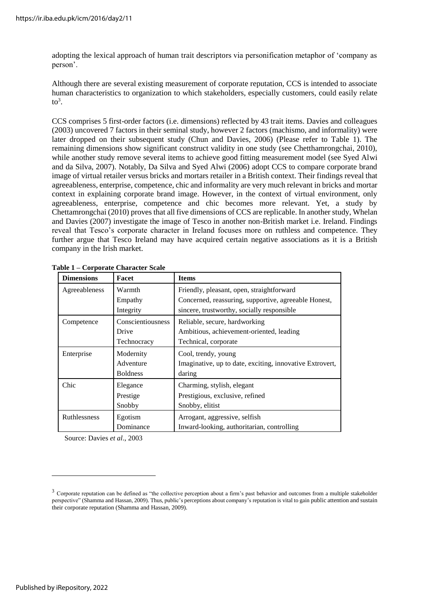adopting the lexical approach of human trait descriptors via personification metaphor of 'company as person'.

Although there are several existing measurement of corporate reputation, CCS is intended to associate human characteristics to organization to which stakeholders, especially customers, could easily relate  $10^3$ .

CCS comprises 5 first-order factors (i.e. dimensions) reflected by 43 trait items. Davies and colleagues (2003) uncovered 7 factors in their seminal study, however 2 factors (machismo, and informality) were later dropped on their subsequent study (Chun and Davies, 2006) (Please refer to Table 1). The remaining dimensions show significant construct validity in one study (see Chetthamrongchai, 2010), while another study remove several items to achieve good fitting measurement model (see Syed Alwi and da Silva, 2007). Notably, Da Silva and Syed Alwi (2006) adopt CCS to compare corporate brand image of virtual retailer versus bricks and mortars retailer in a British context. Their findings reveal that agreeableness, enterprise, competence, chic and informality are very much relevant in bricks and mortar context in explaining corporate brand image. However, in the context of virtual environment, only agreeableness, enterprise, competence and chic becomes more relevant. Yet, a study by Chettamrongchai (2010) proves that all five dimensions of CCS are replicable. In another study, Whelan and Davies (2007) investigate the image of Tesco in another non-British market i.e. Ireland. Findings reveal that Tesco's corporate character in Ireland focuses more on ruthless and competence. They further argue that Tesco Ireland may have acquired certain negative associations as it is a British company in the Irish market.

| <b>Dimensions</b>   | Facet             | <b>Items</b>                                             |
|---------------------|-------------------|----------------------------------------------------------|
| Agreeableness       | Warmth            | Friendly, pleasant, open, straightforward                |
|                     | Empathy           | Concerned, reassuring, supportive, agreeable Honest,     |
|                     | Integrity         | sincere, trustworthy, socially responsible               |
| Competence          | Conscientiousness | Reliable, secure, hardworking                            |
|                     | Drive             | Ambitious, achievement-oriented, leading                 |
|                     | Technocracy       | Technical, corporate                                     |
| Enterprise          | Modernity         | Cool, trendy, young                                      |
|                     | Adventure         | Imaginative, up to date, exciting, innovative Extrovert, |
|                     | <b>Boldness</b>   | daring                                                   |
| Chic                | Elegance          | Charming, stylish, elegant                               |
|                     | Prestige          | Prestigious, exclusive, refined                          |
|                     | Snobby            | Snobby, elitist                                          |
| <b>Ruthlessness</b> | Egotism           | Arrogant, aggressive, selfish                            |
|                     | Dominance         | Inward-looking, authoritarian, controlling               |

**Table 1 – Corporate Character Scale**

Source: Davies *et al*., 2003

 $3$  Corporate reputation can be defined as "the collective perception about a firm's past behavior and outcomes from a multiple stakeholder perspective" (Shamma and Hassan, 2009). Thus, public's perceptions about company's reputation is vital to gain public attention and sustain their corporate reputation (Shamma and Hassan, 2009).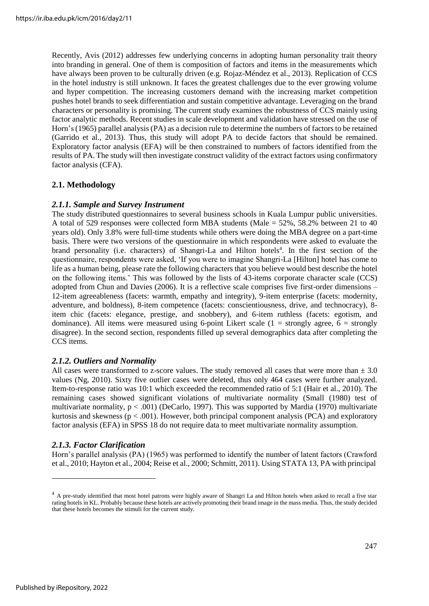Recently, Avis (2012) addresses few underlying concerns in adopting human personality trait theory into branding in general. One of them is composition of factors and items in the measurements which have always been proven to be culturally driven (e.g. Rojaz-Méndez et al., 2013). Replication of CCS in the hotel industry is still unknown. It faces the greatest challenges due to the ever growing volume and hyper competition. The increasing customers demand with the increasing market competition pushes hotel brands to seek differentiation and sustain competitive advantage. Leveraging on the brand characters or personality is promising. The current study examines the robustness of CCS mainly using factor analytic methods. Recent studies in scale development and validation have stressed on the use of Horn's(1965) parallel analysis (PA) as a decision rule to determine the numbers of factors to be retained (Garrido et al., 2013). Thus, this study will adopt PA to decide factors that should be remained. Exploratory factor analysis (EFA) will be then constrained to numbers of factors identified from the results of PA. The study will then investigate construct validity of the extract factors using confirmatory factor analysis (CFA).

#### **2.1. Methodology**

#### *2.1.1. Sample and Survey Instrument*

The study distributed questionnaires to several business schools in Kuala Lumpur public universities. A total of 529 responses were collected form MBA students (Male = 52%, 58.2% between 21 to 40 years old). Only 3.8% were full-time students while others were doing the MBA degree on a part-time basis. There were two versions of the questionnaire in which respondents were asked to evaluate the brand personality (i.e. characters) of Shangri-La and Hilton hotels<sup>4</sup>. In the first section of the questionnaire, respondents were asked, 'If you were to imagine Shangri-La [Hilton] hotel has come to life as a human being, please rate the following characters that you believe would best describe the hotel on the following items.' This was followed by the lists of 43-items corporate character scale (CCS) adopted from Chun and Davies (2006). It is a reflective scale comprises five first-order dimensions – 12-item agreeableness (facets: warmth, empathy and integrity), 9-item enterprise (facets: modernity, adventure, and boldness), 8-item competence (facets: conscientiousness, drive, and technocracy), 8 item chic (facets: elegance, prestige, and snobbery), and 6-item ruthless (facets: egotism, and dominance). All items were measured using 6-point Likert scale  $(1 =$  strongly agree,  $6 =$  strongly disagree). In the second section, respondents filled up several demographics data after completing the CCS items.

#### *2.1.2. Outliers and Normality*

All cases were transformed to z-score values. The study removed all cases that were more than  $\pm 3.0$ values (Ng, 2010). Sixty five outlier cases were deleted, thus only 464 cases were further analyzed. Item-to-response ratio was 10:1 which exceeded the recommended ratio of 5:1 (Hair et al., 2010). The remaining cases showed significant violations of multivariate normality (Small (1980) test of multivariate normality,  $p < .001$ ) (DeCarlo, 1997). This was supported by Mardia (1970) multivariate kurtosis and skewness ( $p < .001$ ). However, both principal component analysis (PCA) and exploratory factor analysis (EFA) in SPSS 18 do not require data to meet multivariate normality assumption.

#### *2.1.3. Factor Clarification*

Horn's parallel analysis (PA) (1965) was performed to identify the number of latent factors (Crawford et al., 2010; Hayton et al., 2004; Reise et al., 2000; Schmitt, 2011). Using STATA 13, PA with principal

<sup>&</sup>lt;sup>4</sup> A pre-study identified that most hotel patrons were highly aware of Shangri La and Hilton hotels when asked to recall a five star rating hotels in KL. Probably because these hotels are actively promoting their brand image in the mass media. Thus, the study decided that these hotels becomes the stimuli for the current study.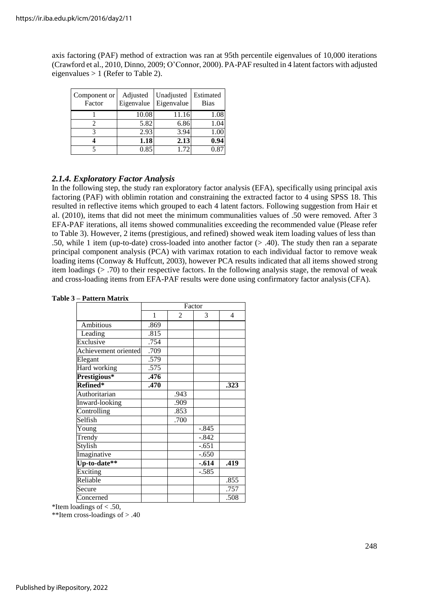axis factoring (PAF) method of extraction was ran at 95th percentile eigenvalues of 10,000 iterations (Crawford et al., 2010, Dinno, 2009; O'Connor, 2000). PA-PAF resulted in 4 latent factors with adjusted eigenvalues > 1 (Refer to Table 2).

| Component or<br>Factor | Adjusted<br>Eigenvalue | Unadjusted<br>Eigenvalue | Estimated<br><b>Bias</b> |
|------------------------|------------------------|--------------------------|--------------------------|
|                        | 10.08                  | 11.16                    | 1.08                     |
|                        | 5.82                   | 6.86                     | 1.04                     |
|                        | 2.93                   | 3.94                     | 1.00                     |
|                        | 1.18                   | 2.13                     | 0.94                     |
|                        | 0.85                   | 1.72                     |                          |

#### *2.1.4. Exploratory Factor Analysis*

In the following step, the study ran exploratory factor analysis (EFA), specifically using principal axis factoring (PAF) with oblimin rotation and constraining the extracted factor to 4 using SPSS 18. This resulted in reflective items which grouped to each 4 latent factors. Following suggestion from Hair et al. (2010), items that did not meet the minimum communalities values of .50 were removed. After 3 EFA-PAF iterations, all items showed communalities exceeding the recommended value (Please refer to Table 3). However, 2 items (prestigious, and refined) showed weak item loading values of less than .50, while 1 item (up-to-date) cross-loaded into another factor (> .40). The study then ran a separate principal component analysis (PCA) with varimax rotation to each individual factor to remove weak loading items (Conway & Huffcutt, 2003), however PCA results indicated that all items showed strong item loadings (> .70) to their respective factors. In the following analysis stage, the removal of weak and cross-loading items from EFA-PAF results were done using confirmatory factor analysis(CFA).

| <b>Table 3 – Pattern Matrix</b> |  |
|---------------------------------|--|
|                                 |  |

|                      | Factor |      |         |                   |
|----------------------|--------|------|---------|-------------------|
|                      | 1      | 2    | 3       | $\overline{4}$    |
| <b>Ambitious</b>     | .869   |      |         |                   |
| Leading              | .815   |      |         |                   |
| Exclusive            | .754   |      |         |                   |
| Achievement oriented | .709   |      |         |                   |
| Elegant              | .579   |      |         |                   |
| Hard working         | .575   |      |         |                   |
| Prestigious*         | .476   |      |         |                   |
| Refined*             | .470   |      |         | $\overline{.}323$ |
| Authoritarian        |        | .943 |         |                   |
| Inward-looking       |        | .909 |         |                   |
| Controlling          |        | .853 |         |                   |
| Selfish              |        | .700 |         |                   |
| Young                |        |      | $-.845$ |                   |
| Trendy               |        |      | $-.842$ |                   |
| Stylish              |        |      | $-.651$ |                   |
| Imaginative          |        |      | $-.650$ |                   |
| Up-to-date**         |        |      | $-614$  | .419              |
| Exciting             |        |      | $-.585$ |                   |
| Reliable             |        |      |         | .855              |
| Secure               |        |      |         | .757              |
| Concerned            |        |      |         | .508              |

\*Item loadings of < .50,

\*\*Item cross-loadings of > .40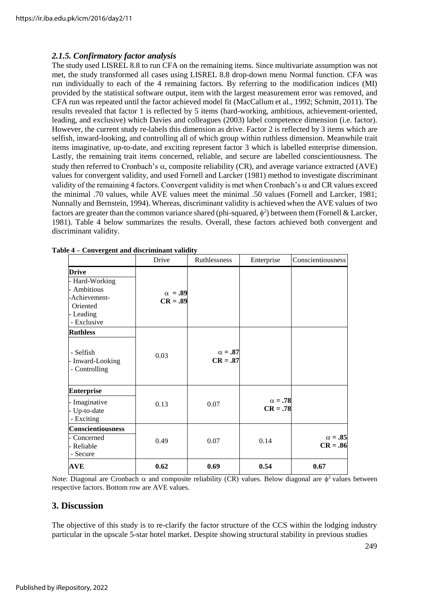#### *2.1.5. Confirmatory factor analysis*

The study used LISREL 8.8 to run CFA on the remaining items. Since multivariate assumption was not met, the study transformed all cases using LISREL 8.8 drop-down menu Normal function. CFA was run individually to each of the 4 remaining factors. By referring to the modification indices (MI) provided by the statistical software output, item with the largest measurement error was removed, and CFA run was repeated until the factor achieved model fit (MacCallum et al., 1992; Schmitt, 2011). The results revealed that factor 1 is reflected by 5 items (hard-working, ambitious, achievement-oriented, leading, and exclusive) which Davies and colleagues (2003) label competence dimension (i.e. factor). However, the current study re-labels this dimension as drive. Factor 2 is reflected by 3 items which are selfish, inward-looking, and controlling all of which group within ruthless dimension. Meanwhile trait items imaginative, up-to-date, and exciting represent factor 3 which is labelled enterprise dimension. Lastly, the remaining trait items concerned, reliable, and secure are labelled conscientiousness. The study then referred to Cronbach's  $\alpha$ , composite reliability (CR), and average variance extracted (AVE) values for convergent validity, and used Fornell and Larcker (1981) method to investigate discriminant validity of the remaining 4 factors. Convergent validity is met when Cronbach's  $\alpha$  and CR values exceed the minimal .70 values, while AVE values meet the minimal .50 values (Fornell and Larcker, 1981; Nunnally and Bernstein, 1994). Whereas, discriminant validity is achieved when the AVE values of two factors are greater than the common variance shared (phi-squared,  $\phi^2$ ) between them (Fornell & Larcker, 1981). Table 4 below summarizes the results. Overall, these factors achieved both convergent and discriminant validity.

|                                                                                                      | Drive                        | Ruthlessness                 | Enterprise                   | Conscientiousness            |
|------------------------------------------------------------------------------------------------------|------------------------------|------------------------------|------------------------------|------------------------------|
| <b>Drive</b><br>- Hard-Working<br>Ambitious<br>-Achievement-<br>Oriented<br>- Leading<br>- Exclusive | $\alpha = .89$<br>$CR = .89$ |                              |                              |                              |
| <b>Ruthless</b><br>- Selfish<br>- Inward-Looking<br>- Controlling                                    | 0.03                         | $\alpha = .87$<br>$CR = .87$ |                              |                              |
| <b>Enterprise</b><br>Imaginative<br>- Up-to-date<br>- Exciting                                       | 0.13                         | 0.07                         | $\alpha = .78$<br>$CR = .78$ |                              |
| Conscientiousness<br>Concerned<br>- Reliable<br>- Secure                                             | 0.49                         | 0.07                         | 0.14                         | $\alpha = .85$<br>$CR = .86$ |
| <b>AVE</b>                                                                                           | 0.62                         | 0.69                         | 0.54                         | 0.67                         |

|  |  |  | Table 4 – Convergent and discriminant validity |  |
|--|--|--|------------------------------------------------|--|
|--|--|--|------------------------------------------------|--|

Note: Diagonal are Cronbach  $\alpha$  and composite reliability (CR) values. Below diagonal are  $\phi^2$  values between respective factors. Bottom row are AVE values.

#### **3. Discussion**

The objective of this study is to re-clarify the factor structure of the CCS within the lodging industry particular in the upscale 5-star hotel market. Despite showing structural stability in previous studies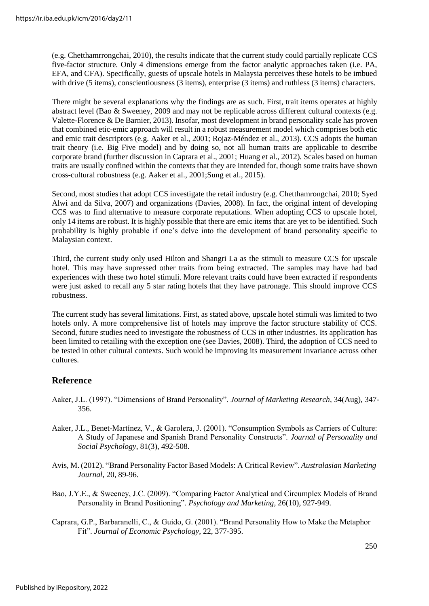(e.g. Chetthamrrongchai, 2010), the results indicate that the current study could partially replicate CCS five-factor structure. Only 4 dimensions emerge from the factor analytic approaches taken (i.e. PA, EFA, and CFA). Specifically, guests of upscale hotels in Malaysia perceives these hotels to be imbued with drive (5 items), conscientiousness (3 items), enterprise (3 items) and ruthless (3 items) characters.

There might be several explanations why the findings are as such. First, trait items operates at highly abstract level (Bao & Sweeney, 2009 and may not be replicable across different cultural contexts (e.g. Valette-Florence & De Barnier, 2013). Insofar, most development in brand personality scale has proven that combined etic-emic approach will result in a robust measurement model which comprises both etic and emic trait descriptors (e.g. Aaker et al., 2001; Rojaz-Méndez et al., 2013). CCS adopts the human trait theory (i.e. Big Five model) and by doing so, not all human traits are applicable to describe corporate brand (further discussion in Caprara et al., 2001; Huang et al., 2012). Scales based on human traits are usually confined within the contexts that they are intended for, though some traits have shown cross-cultural robustness (e.g. Aaker et al., 2001;Sung et al., 2015).

Second, most studies that adopt CCS investigate the retail industry (e.g. Chetthamrongchai, 2010; Syed Alwi and da Silva, 2007) and organizations (Davies, 2008). In fact, the original intent of developing CCS was to find alternative to measure corporate reputations. When adopting CCS to upscale hotel, only 14 items are robust. It is highly possible that there are emic items that are yet to be identified. Such probability is highly probable if one's delve into the development of brand personality specific to Malaysian context.

Third, the current study only used Hilton and Shangri La as the stimuli to measure CCS for upscale hotel. This may have supressed other traits from being extracted. The samples may have had bad experiences with these two hotel stimuli. More relevant traits could have been extracted if respondents were just asked to recall any 5 star rating hotels that they have patronage. This should improve CCS robustness.

The current study has several limitations. First, as stated above, upscale hotel stimuli was limited to two hotels only. A more comprehensive list of hotels may improve the factor structure stability of CCS. Second, future studies need to investigate the robustness of CCS in other industries. Its application has been limited to retailing with the exception one (see Davies, 2008). Third, the adoption of CCS need to be tested in other cultural contexts. Such would be improving its measurement invariance across other cultures.

## **Reference**

- Aaker, J.L. (1997). "Dimensions of Brand Personality". *Journal of Marketing Research*, 34(Aug), 347- 356.
- Aaker, J.L., Benet-Martínez, V., & Garolera, J. (2001). "Consumption Symbols as Carriers of Culture: A Study of Japanese and Spanish Brand Personality Constructs". *Journal of Personality and Social Psychology*, 81(3), 492-508.
- Avis, M. (2012). "Brand Personality Factor Based Models: A Critical Review". *Australasian Marketing Journal*, 20, 89-96.
- Bao, J.Y.E., & Sweeney, J.C. (2009). "Comparing Factor Analytical and Circumplex Models of Brand Personality in Brand Positioning". *Psychology and Marketing*, 26(10), 927-949.
- Caprara, G.P., Barbaranelli, C., & Guido, G. (2001). "Brand Personality How to Make the Metaphor Fit". *Journal of Economic Psychology*, 22, 377-395.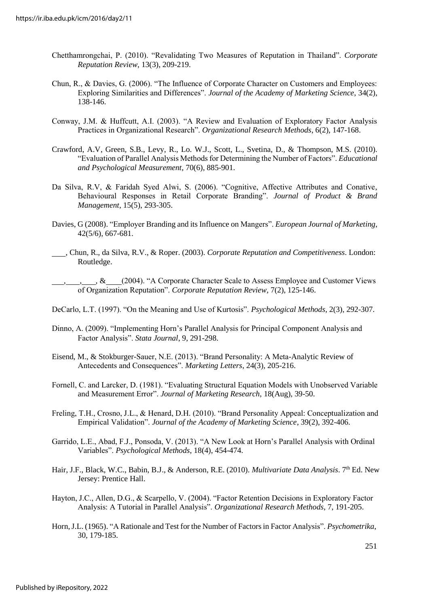- Chetthamrongchai, P. (2010). "Revalidating Two Measures of Reputation in Thailand". *Corporate Reputation Review*, 13(3), 209-219.
- Chun, R., & Davies, G. (2006). "The Influence of Corporate Character on Customers and Employees: Exploring Similarities and Differences". *Journal of the Academy of Marketing Science*, 34(2), 138-146.
- Conway, J.M. & Huffcutt, A.I. (2003). "A Review and Evaluation of Exploratory Factor Analysis Practices in Organizational Research". *Organizational Research Methods*, 6(2), 147-168.
- Crawford, A.V, Green, S.B., Levy, R., Lo. W.J., Scott, L., Svetina, D., & Thompson, M.S. (2010). "Evaluation of Parallel Analysis Methods for Determining the Number of Factors". *Educational and Psychological Measurement*, 70(6), 885-901.
- Da Silva, R.V, & Faridah Syed Alwi, S. (2006). "Cognitive, Affective Attributes and Conative, Behavioural Responses in Retail Corporate Branding". *Journal of Product & Brand Management*, 15(5), 293-305.
- Davies, G (2008). "Employer Branding and its Influence on Mangers". *European Journal of Marketing*, 42(5/6), 667-681.
- , Chun, R., da Silva, R.V., & Roper. (2003). *Corporate Reputation and Competitiveness*. London: Routledge.
- , & (2004). "A Corporate Character Scale to Assess Employee and Customer Views of Organization Reputation". *Corporate Reputation Review*, 7(2), 125-146.
- DeCarlo, L.T. (1997). "On the Meaning and Use of Kurtosis". *Psychological Methods*, 2(3), 292-307.
- Dinno, A. (2009). "Implementing Horn's Parallel Analysis for Principal Component Analysis and Factor Analysis". *Stata Journal*, 9, 291-298.
- Eisend, M., & Stokburger-Sauer, N.E. (2013). "Brand Personality: A Meta-Analytic Review of Antecedents and Consequences". *Marketing Letters*, 24(3), 205-216.
- Fornell, C. and Larcker, D. (1981). "Evaluating Structural Equation Models with Unobserved Variable and Measurement Error". *Journal of Marketing Research*, 18(Aug), 39-50.
- Freling, T.H., Crosno, J.L., & Henard, D.H. (2010). "Brand Personality Appeal: Conceptualization and Empirical Validation". *Journal of the Academy of Marketing Science*, 39(2), 392-406.
- Garrido, L.E., Abad, F.J., Ponsoda, V. (2013). "A New Look at Horn's Parallel Analysis with Ordinal Variables". *Psychological Methods*, 18(4), 454-474.
- Hair, J.F., Black, W.C., Babin, B.J., & Anderson, R.E. (2010). *Multivariate Data Analysis*. 7<sup>th</sup> Ed. New Jersey: Prentice Hall.
- Hayton, J.C., Allen, D.G., & Scarpello, V. (2004). "Factor Retention Decisions in Exploratory Factor Analysis: A Tutorial in Parallel Analysis". *Organizational Research Methods*, 7, 191-205.
- Horn,J.L. (1965). "A Rationale and Test for the Number of Factorsin Factor Analysis". *Psychometrika*, 30, 179-185.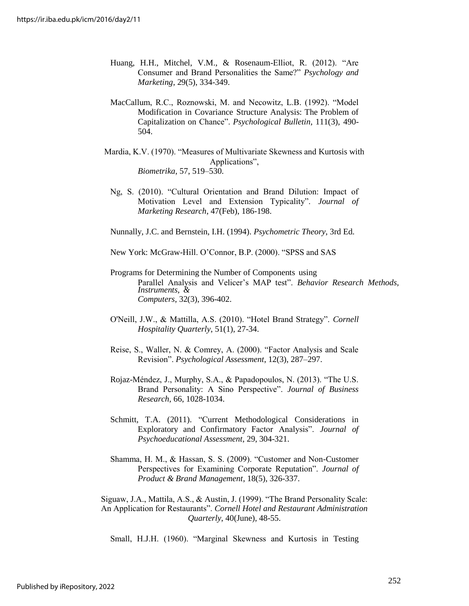- Huang, H.H., Mitchel, V.M., & Rosenaum-Elliot, R. (2012). "Are Consumer and Brand Personalities the Same?" *Psychology and Marketing*, 29(5), 334-349.
- MacCallum, R.C., Roznowski, M. and Necowitz, L.B. (1992). "Model Modification in Covariance Structure Analysis: The Problem of Capitalization on Chance". *Psychological Bulletin*, 111(3), 490- 504.
- Mardia, K.V. (1970). "Measures of Multivariate Skewness and Kurtosis with Applications", *Biometrika*, 57, 519–530.
	- Ng, S. (2010). "Cultural Orientation and Brand Dilution: Impact of Motivation Level and Extension Typicality". *Journal of Marketing Research*, 47(Feb), 186-198.

Nunnally, J.C. and Bernstein, I.H. (1994). *Psychometric Theory*, 3rd Ed.

- New York: McGraw-Hill. O'Connor, B.P. (2000). "SPSS and SAS
- Programs for Determining the Number of Components using Parallel Analysis and Velicer's MAP test". *Behavior Research Methods, Instruments, & Computers*, 32(3), 396-402.
- O'Neill, J.W., & Mattilla, A.S. (2010). "Hotel Brand Strategy". *Cornell Hospitality Quarterly*, 51(1), 27-34.
- Reise, S., Waller, N. & Comrey, A. (2000). "Factor Analysis and Scale Revision". *Psychological Assessment*, 12(3), 287–297.
- Rojaz-Méndez, J., Murphy, S.A., & Papadopoulos, N. (2013). "The U.S. Brand Personality: A Sino Perspective". *Journal of Business Research*, 66, 1028-1034.
- Schmitt, T.A. (2011). "Current Methodological Considerations in Exploratory and Confirmatory Factor Analysis". *Journal of Psychoeducational Assessment*, 29, 304-321.
- Shamma, H. M., & Hassan, S. S. (2009). "Customer and Non-Customer Perspectives for Examining Corporate Reputation". *Journal of Product & Brand Management*, 18(5), 326-337.

Siguaw, J.A., Mattila, A.S., & Austin, J. (1999). "The Brand Personality Scale: An Application for Restaurants". *Cornell Hotel and Restaurant Administration Quarterly*, 40(June), 48-55.

Small, H.J.H. (1960). "Marginal Skewness and Kurtosis in Testing